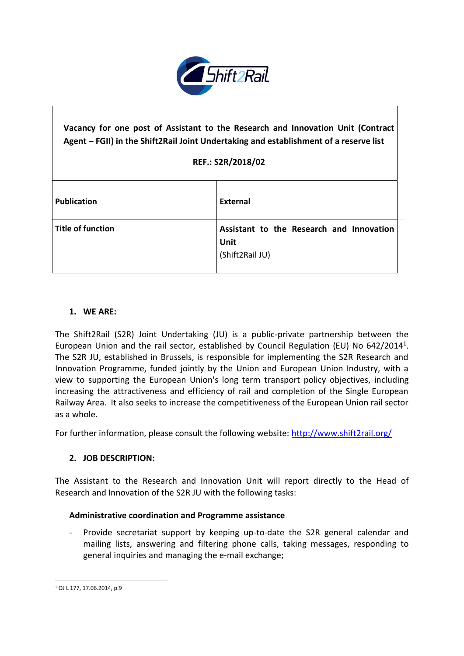

# **Vacancy for one post of Assistant to the Research and Innovation Unit (Contract Agent – FGII) in the Shift2Rail Joint Undertaking and establishment of a reserve list REF.: S2R/2018/02 Publication External Title of function Assistant to the Research and Innovation Unit** (Shift2Rail JU)

# **1. WE ARE:**

The Shift2Rail (S2R) Joint Undertaking (JU) is a public-private partnership between the European Union and the rail sector, established by Council Regulation (EU) No 642/2014<sup>1</sup>. The S2R JU, established in Brussels, is responsible for implementing the S2R Research and Innovation Programme, funded jointly by the Union and European Union Industry, with a view to supporting the European Union's long term transport policy objectives, including increasing the attractiveness and efficiency of rail and completion of the Single European Railway Area. It also seeks to increase the competitiveness of the European Union rail sector as a whole.

For further information, please consult the following website:<http://www.shift2rail.org/>

# **2. JOB DESCRIPTION:**

The Assistant to the Research and Innovation Unit will report directly to the Head of Research and Innovation of the S2R JU with the following tasks:

## **Administrative coordination and Programme assistance**

- Provide secretariat support by keeping up-to-date the S2R general calendar and mailing lists, answering and filtering phone calls, taking messages, responding to general inquiries and managing the e-mail exchange;

**.** 

<sup>1</sup> OJ L 177, 17.06.2014, p.9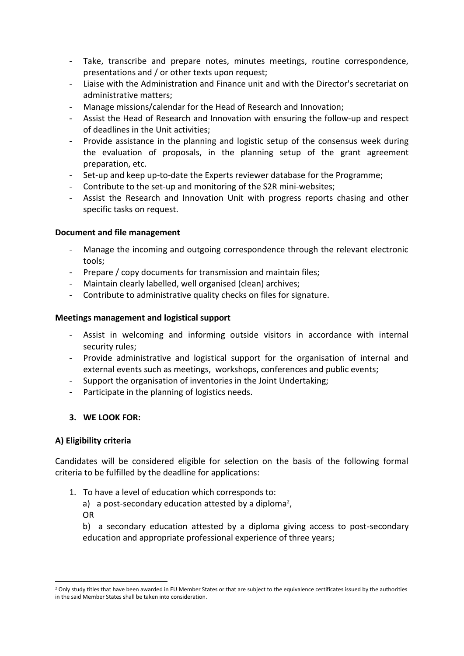- Take, transcribe and prepare notes, minutes meetings, routine correspondence, presentations and / or other texts upon request;
- Liaise with the Administration and Finance unit and with the Director's secretariat on administrative matters;
- Manage missions/calendar for the Head of Research and Innovation;
- Assist the Head of Research and Innovation with ensuring the follow-up and respect of deadlines in the Unit activities;
- Provide assistance in the planning and logistic setup of the consensus week during the evaluation of proposals, in the planning setup of the grant agreement preparation, etc.
- Set-up and keep up-to-date the Experts reviewer database for the Programme;
- Contribute to the set-up and monitoring of the S2R mini-websites;
- Assist the Research and Innovation Unit with progress reports chasing and other specific tasks on request.

## **Document and file management**

- Manage the incoming and outgoing correspondence through the relevant electronic tools;
- Prepare / copy documents for transmission and maintain files;
- Maintain clearly labelled, well organised (clean) archives;
- Contribute to administrative quality checks on files for signature.

## **Meetings management and logistical support**

- Assist in welcoming and informing outside visitors in accordance with internal security rules;
- Provide administrative and logistical support for the organisation of internal and external events such as meetings, workshops, conferences and public events;
- Support the organisation of inventories in the Joint Undertaking;
- Participate in the planning of logistics needs.

# **3. WE LOOK FOR:**

# **A) Eligibility criteria**

**.** 

Candidates will be considered eligible for selection on the basis of the following formal criteria to be fulfilled by the deadline for applications:

- 1. To have a level of education which corresponds to:
	- a) a post-secondary education attested by a diploma<sup>2</sup>, OR

b) a secondary education attested by a diploma giving access to post-secondary education and appropriate professional experience of three years;

<sup>&</sup>lt;sup>2</sup> Only study titles that have been awarded in EU Member States or that are subject to the equivalence certificates issued by the authorities in the said Member States shall be taken into consideration.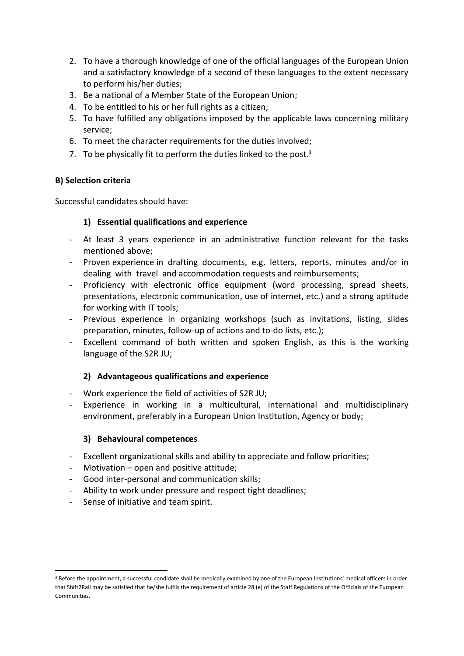- 2. To have a thorough knowledge of one of the official languages of the European Union and a satisfactory knowledge of a second of these languages to the extent necessary to perform his/her duties;
- 3. Be a national of a Member State of the European Union;
- 4. To be entitled to his or her full rights as a citizen;
- 5. To have fulfilled any obligations imposed by the applicable laws concerning military service;
- 6. To meet the character requirements for the duties involved;
- 7. To be physically fit to perform the duties linked to the post. $3$

# **B) Selection criteria**

Successful candidates should have:

# **1) Essential qualifications and experience**

- At least 3 years experience in an administrative function relevant for the tasks mentioned above;
- Proven experience in drafting documents, e.g. letters, reports, minutes and/or in dealing with travel and accommodation requests and reimbursements;
- Proficiency with electronic office equipment (word processing, spread sheets, presentations, electronic communication, use of internet, etc.) and a strong aptitude for working with IT tools;
- Previous experience in organizing workshops (such as invitations, listing, slides preparation, minutes, follow-up of actions and to-do lists, etc.);
- Excellent command of both written and spoken English, as this is the working language of the S2R JU;

# **2) Advantageous qualifications and experience**

- Work experience the field of activities of S2R JU;
- Experience in working in a multicultural, international and multidisciplinary environment, preferably in a European Union Institution, Agency or body;

# **3) Behavioural competences**

- Excellent organizational skills and ability to appreciate and follow priorities;
- Motivation  $-$  open and positive attitude;
- Good inter-personal and communication skills;
- Ability to work under pressure and respect tight deadlines;
- Sense of initiative and team spirit.

**.** 

<sup>&</sup>lt;sup>3</sup> Before the appointment, a successful candidate shall be medically examined by one of the European Institutions' medical officers in order that Shift2Rail may be satisfied that he/she fulfils the requirement of article 28 (e) of the Staff Regulations of the Officials of the European **Communities**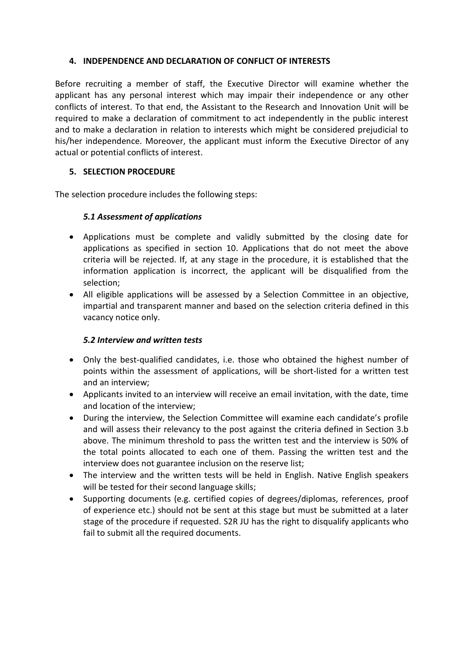## **4. INDEPENDENCE AND DECLARATION OF CONFLICT OF INTERESTS**

Before recruiting a member of staff, the Executive Director will examine whether the applicant has any personal interest which may impair their independence or any other conflicts of interest. To that end, the Assistant to the Research and Innovation Unit will be required to make a declaration of commitment to act independently in the public interest and to make a declaration in relation to interests which might be considered prejudicial to his/her independence. Moreover, the applicant must inform the Executive Director of any actual or potential conflicts of interest.

# **5. SELECTION PROCEDURE**

The selection procedure includes the following steps:

# *5.1 Assessment of applications*

- Applications must be complete and validly submitted by the closing date for applications as specified in section 10. Applications that do not meet the above criteria will be rejected. If, at any stage in the procedure, it is established that the information application is incorrect, the applicant will be disqualified from the selection;
- All eligible applications will be assessed by a Selection Committee in an objective, impartial and transparent manner and based on the selection criteria defined in this vacancy notice only.

# *5.2 Interview and written tests*

- Only the best-qualified candidates, i.e. those who obtained the highest number of points within the assessment of applications, will be short-listed for a written test and an interview;
- Applicants invited to an interview will receive an email invitation, with the date, time and location of the interview;
- During the interview, the Selection Committee will examine each candidate's profile and will assess their relevancy to the post against the criteria defined in Section 3.b above. The minimum threshold to pass the written test and the interview is 50% of the total points allocated to each one of them. Passing the written test and the interview does not guarantee inclusion on the reserve list;
- The interview and the written tests will be held in English. Native English speakers will be tested for their second language skills;
- Supporting documents (e.g. certified copies of degrees/diplomas, references, proof of experience etc.) should not be sent at this stage but must be submitted at a later stage of the procedure if requested. S2R JU has the right to disqualify applicants who fail to submit all the required documents.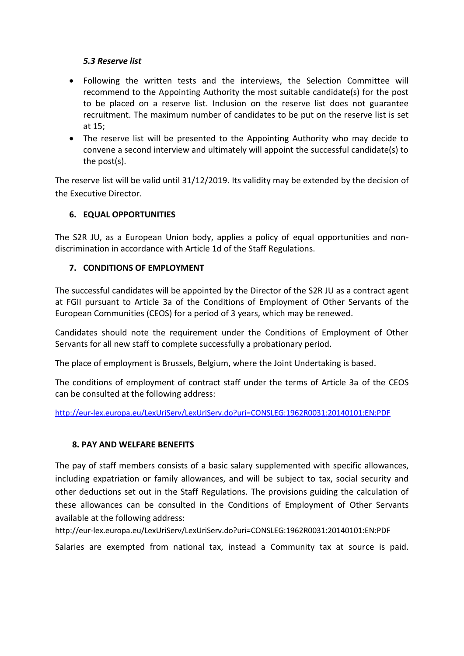## *5.3 Reserve list*

- Following the written tests and the interviews, the Selection Committee will recommend to the Appointing Authority the most suitable candidate(s) for the post to be placed on a reserve list. Inclusion on the reserve list does not guarantee recruitment. The maximum number of candidates to be put on the reserve list is set at 15;
- The reserve list will be presented to the Appointing Authority who may decide to convene a second interview and ultimately will appoint the successful candidate(s) to the post(s).

The reserve list will be valid until 31/12/2019. Its validity may be extended by the decision of the Executive Director.

# **6. EQUAL OPPORTUNITIES**

The S2R JU, as a European Union body, applies a policy of equal opportunities and nondiscrimination in accordance with Article 1d of the Staff Regulations.

# **7. CONDITIONS OF EMPLOYMENT**

The successful candidates will be appointed by the Director of the S2R JU as a contract agent at FGII pursuant to Article 3a of the Conditions of Employment of Other Servants of the European Communities (CEOS) for a period of 3 years, which may be renewed.

Candidates should note the requirement under the Conditions of Employment of Other Servants for all new staff to complete successfully a probationary period.

The place of employment is Brussels, Belgium, where the Joint Undertaking is based.

The conditions of employment of contract staff under the terms of Article 3a of the CEOS can be consulted at the following address:

<http://eur-lex.europa.eu/LexUriServ/LexUriServ.do?uri=CONSLEG:1962R0031:20140101:EN:PDF>

# **8. PAY AND WELFARE BENEFITS**

The pay of staff members consists of a basic salary supplemented with specific allowances, including expatriation or family allowances, and will be subject to tax, social security and other deductions set out in the Staff Regulations. The provisions guiding the calculation of these allowances can be consulted in the Conditions of Employment of Other Servants available at the following address:

http://eur-lex.europa.eu/LexUriServ/LexUriServ.do?uri=CONSLEG:1962R0031:20140101:EN:PDF

Salaries are exempted from national tax, instead a Community tax at source is paid.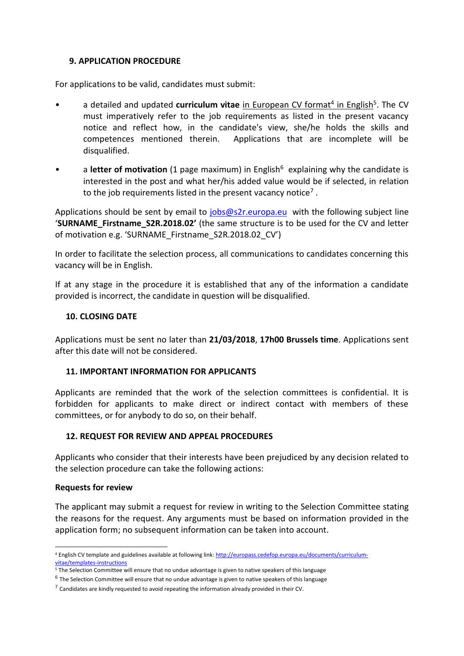## **9. APPLICATION PROCEDURE**

For applications to be valid, candidates must submit:

- a detailed and updated **curriculum vitae** in European CV format<sup>4</sup> in English<sup>5</sup>. The CV must imperatively refer to the job requirements as listed in the present vacancy notice and reflect how, in the candidate's view, she/he holds the skills and competences mentioned therein. Applications that are incomplete will be disqualified.
- a **letter of motivation** (1 page maximum) in English<sup>6</sup> explaining why the candidate is interested in the post and what her/his added value would be if selected, in relation to the job requirements listed in the present vacancy notice<sup>7</sup>.

Applications should be sent by email to [jobs@s2r.europa.eu](mailto:jobs@s2r.europa.eu) with the following subject line '**SURNAME\_Firstname\_S2R.2018.02'** (the same structure is to be used for the CV and letter of motivation e.g. 'SURNAME\_Firstname\_S2R.2018.02\_CV')

In order to facilitate the selection process, all communications to candidates concerning this vacancy will be in English.

If at any stage in the procedure it is established that any of the information a candidate provided is incorrect, the candidate in question will be disqualified.

## **10. CLOSING DATE**

Applications must be sent no later than **21/03/2018**, **17h00 Brussels time**. Applications sent after this date will not be considered.

## **11. IMPORTANT INFORMATION FOR APPLICANTS**

Applicants are reminded that the work of the selection committees is confidential. It is forbidden for applicants to make direct or indirect contact with members of these committees, or for anybody to do so, on their behalf.

## **12. REQUEST FOR REVIEW AND APPEAL PROCEDURES**

Applicants who consider that their interests have been prejudiced by any decision related to the selection procedure can take the following actions:

## **Requests for review**

**.** 

The applicant may submit a request for review in writing to the Selection Committee stating the reasons for the request. Any arguments must be based on information provided in the application form; no subsequent information can be taken into account.

<sup>4</sup> English CV template and guidelines available at following link: [http://europass.cedefop.europa.eu/documents/curriculum](http://europass.cedefop.europa.eu/documents/curriculum-vitae/templates-instructions)[vitae/templates-instructions](http://europass.cedefop.europa.eu/documents/curriculum-vitae/templates-instructions)

<sup>&</sup>lt;sup>5</sup> The Selection Committee will ensure that no undue advantage is given to native speakers of this language

<sup>&</sup>lt;sup>6</sup> The Selection Committee will ensure that no undue advantage is given to native speakers of this language

 $^7$  Candidates are kindly requested to avoid repeating the information already provided in their CV.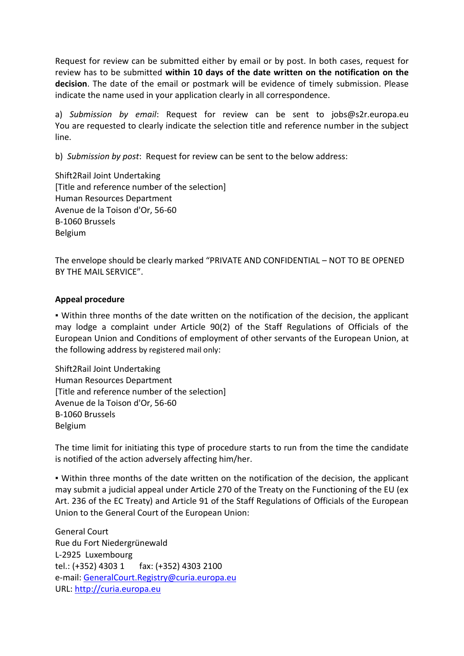Request for review can be submitted either by email or by post. In both cases, request for review has to be submitted **within 10 days of the date written on the notification on the decision**. The date of the email or postmark will be evidence of timely submission. Please indicate the name used in your application clearly in all correspondence.

a) *Submission by email*: Request for review can be sent to jobs@s2r.europa.eu You are requested to clearly indicate the selection title and reference number in the subject line.

b) *Submission by post*: Request for review can be sent to the below address:

Shift2Rail Joint Undertaking [Title and reference number of the selection] Human Resources Department Avenue de la Toison d'Or, 56-60 B-1060 Brussels Belgium

The envelope should be clearly marked "PRIVATE AND CONFIDENTIAL – NOT TO BE OPENED BY THE MAIL SERVICE".

## **Appeal procedure**

▪ Within three months of the date written on the notification of the decision, the applicant may lodge a complaint under Article 90(2) of the Staff Regulations of Officials of the European Union and Conditions of employment of other servants of the European Union, at the following address by registered mail only:

Shift2Rail Joint Undertaking Human Resources Department [Title and reference number of the selection] Avenue de la Toison d'Or, 56-60 B-1060 Brussels Belgium

The time limit for initiating this type of procedure starts to run from the time the candidate is notified of the action adversely affecting him/her.

▪ Within three months of the date written on the notification of the decision, the applicant may submit a judicial appeal under Article 270 of the Treaty on the Functioning of the EU (ex Art. 236 of the EC Treaty) and Article 91 of the Staff Regulations of Officials of the European Union to the General Court of the European Union:

General Court Rue du Fort Niedergrünewald L-2925 Luxembourg tel.: (+352) 4303 1 fax: (+352) 4303 2100 e-mail: [GeneralCourt.Registry@curia.europa.eu](mailto:GeneralCourt.Registry@curia.europa.eu) URL: [http://curia.europa.eu](http://curia.europa.eu/)